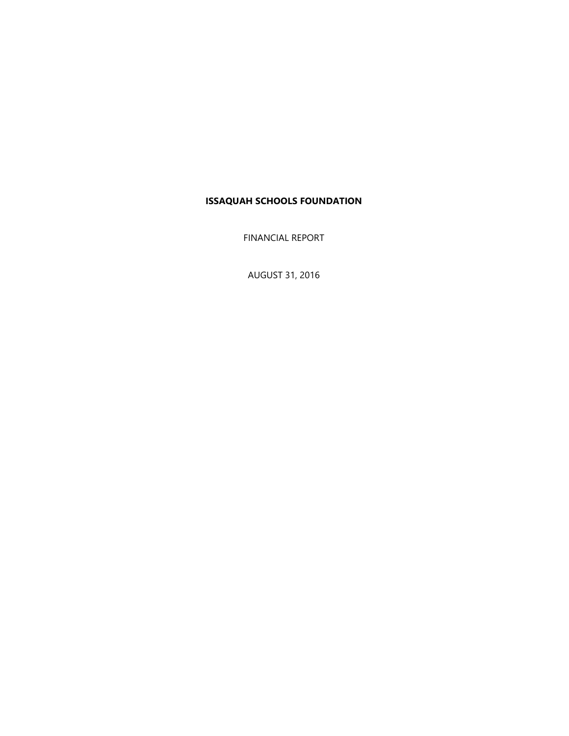FINANCIAL REPORT

AUGUST 31, 2016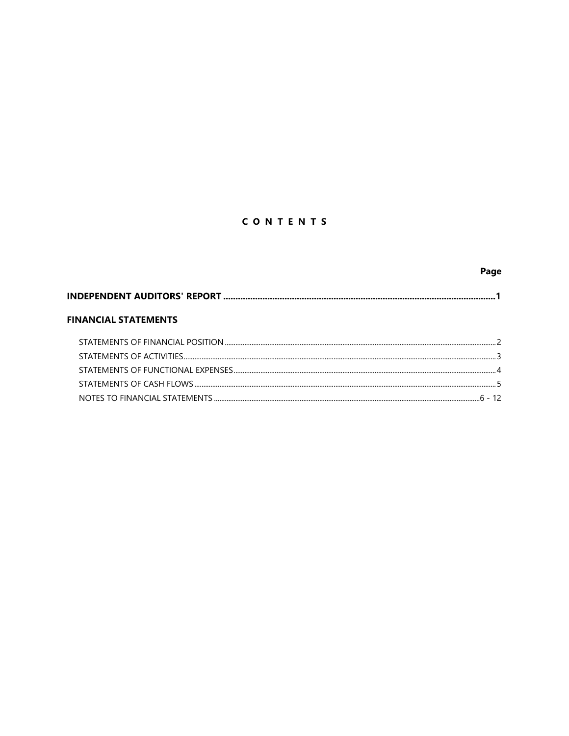# CONTENTS

|                             | Page |
|-----------------------------|------|
|                             |      |
| <b>FINANCIAL STATEMENTS</b> |      |
|                             |      |
|                             |      |
|                             |      |
|                             |      |
|                             |      |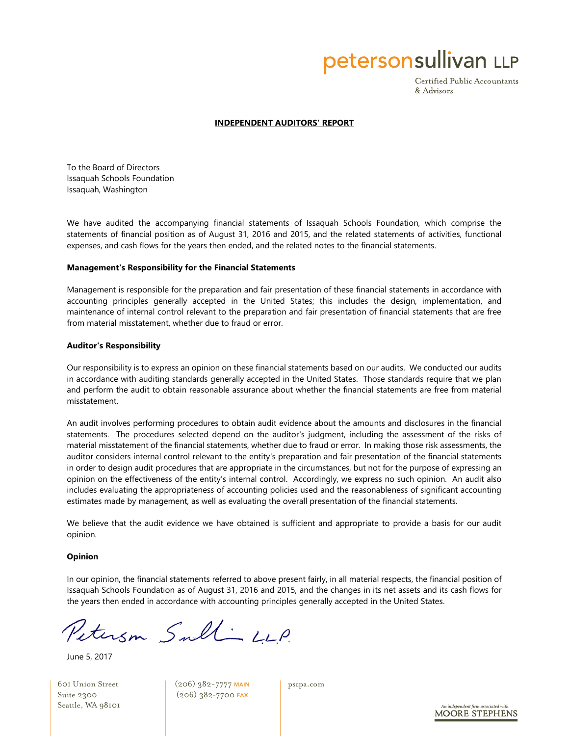petersonsullivan LLP

Certified Public Accountants & Advisors

#### **INDEPENDENT AUDITORS' REPORT**

To the Board of Directors Issaquah Schools Foundation Issaquah, Washington

We have audited the accompanying financial statements of Issaquah Schools Foundation, which comprise the statements of financial position as of August 31, 2016 and 2015, and the related statements of activities, functional expenses, and cash flows for the years then ended, and the related notes to the financial statements.

#### **Management's Responsibility for the Financial Statements**

Management is responsible for the preparation and fair presentation of these financial statements in accordance with accounting principles generally accepted in the United States; this includes the design, implementation, and maintenance of internal control relevant to the preparation and fair presentation of financial statements that are free from material misstatement, whether due to fraud or error.

#### **Auditor's Responsibility**

Our responsibility is to express an opinion on these financial statements based on our audits. We conducted our audits in accordance with auditing standards generally accepted in the United States. Those standards require that we plan and perform the audit to obtain reasonable assurance about whether the financial statements are free from material misstatement.

An audit involves performing procedures to obtain audit evidence about the amounts and disclosures in the financial statements. The procedures selected depend on the auditor's judgment, including the assessment of the risks of material misstatement of the financial statements, whether due to fraud or error. In making those risk assessments, the auditor considers internal control relevant to the entity's preparation and fair presentation of the financial statements in order to design audit procedures that are appropriate in the circumstances, but not for the purpose of expressing an opinion on the effectiveness of the entity's internal control. Accordingly, we express no such opinion. An audit also includes evaluating the appropriateness of accounting policies used and the reasonableness of significant accounting estimates made by management, as well as evaluating the overall presentation of the financial statements.

We believe that the audit evidence we have obtained is sufficient and appropriate to provide a basis for our audit opinion.

#### **Opinion**

In our opinion, the financial statements referred to above present fairly, in all material respects, the financial position of Issaquah Schools Foundation as of August 31, 2016 and 2015, and the changes in its net assets and its cash flows for the years then ended in accordance with accounting principles generally accepted in the United States.

Peterson Sult LLP.

June 5, 2017

601 Union Street Suite 2300 Seattle, WA 98101 (206) 382-7777 MAIN (206) 382-7700 FAX

pscpa.com

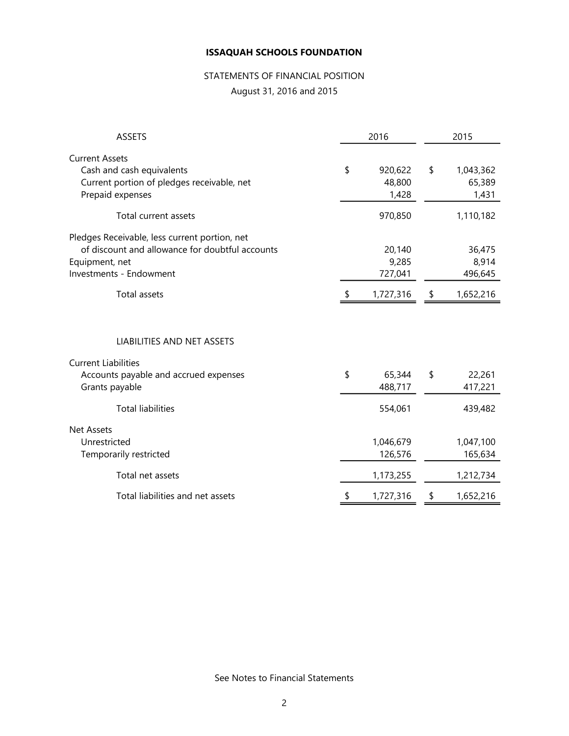# STATEMENTS OF FINANCIAL POSITION

August 31, 2016 and 2015

| <b>ASSETS</b>                                                                                                                                 | 2016 |                                   |    | 2015                              |  |  |
|-----------------------------------------------------------------------------------------------------------------------------------------------|------|-----------------------------------|----|-----------------------------------|--|--|
| <b>Current Assets</b><br>Cash and cash equivalents<br>Current portion of pledges receivable, net<br>Prepaid expenses                          | \$   | 920,622<br>48,800<br>1,428        | \$ | 1,043,362<br>65,389<br>1,431      |  |  |
| Total current assets                                                                                                                          |      | 970,850                           |    | 1,110,182                         |  |  |
| Pledges Receivable, less current portion, net<br>of discount and allowance for doubtful accounts<br>Equipment, net<br>Investments - Endowment |      | 20,140<br>9,285<br>727,041        |    | 36,475<br>8,914<br>496,645        |  |  |
| Total assets                                                                                                                                  | \$   | 1,727,316                         | \$ | 1,652,216                         |  |  |
| <b>LIABILITIES AND NET ASSETS</b><br><b>Current Liabilities</b><br>Accounts payable and accrued expenses<br>Grants payable                    | \$   | 65,344<br>488,717                 | \$ | 22,261<br>417,221                 |  |  |
| <b>Total liabilities</b>                                                                                                                      |      | 554,061                           |    | 439,482                           |  |  |
| <b>Net Assets</b><br>Unrestricted<br>Temporarily restricted<br>Total net assets                                                               |      | 1,046,679<br>126,576<br>1,173,255 |    | 1,047,100<br>165,634<br>1,212,734 |  |  |
| Total liabilities and net assets                                                                                                              | \$   | 1,727,316                         | \$ | 1,652,216                         |  |  |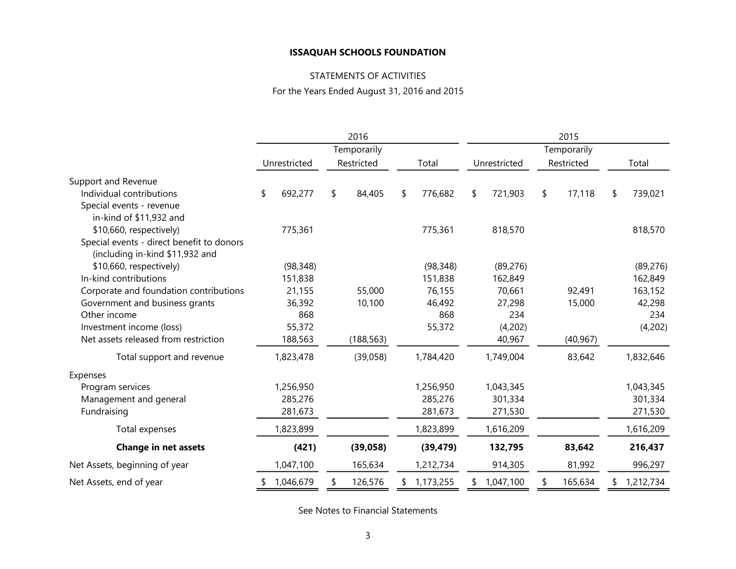# STATEMENTS OF ACTIVITIES

For the Years Ended August 31, 2016 and 2015

|                                                                              | 2016            |    |            |    |             | 2015 |              |            |           |    |           |
|------------------------------------------------------------------------------|-----------------|----|------------|----|-------------|------|--------------|------------|-----------|----|-----------|
|                                                                              | Temporarily     |    |            |    | Temporarily |      |              |            |           |    |           |
|                                                                              | Unrestricted    |    | Restricted |    | Total       |      | Unrestricted | Restricted |           |    | Total     |
| Support and Revenue                                                          |                 |    |            |    |             |      |              |            |           |    |           |
| Individual contributions                                                     | \$<br>692,277   | \$ | 84,405     | \$ | 776,682     | \$   | 721,903      | \$         | 17,118    | \$ | 739,021   |
| Special events - revenue                                                     |                 |    |            |    |             |      |              |            |           |    |           |
| in-kind of \$11,932 and                                                      |                 |    |            |    |             |      |              |            |           |    |           |
| \$10,660, respectively)                                                      | 775,361         |    |            |    | 775,361     |      | 818,570      |            |           |    | 818,570   |
| Special events - direct benefit to donors<br>(including in-kind \$11,932 and |                 |    |            |    |             |      |              |            |           |    |           |
| \$10,660, respectively)                                                      | (98, 348)       |    |            |    | (98, 348)   |      | (89, 276)    |            |           |    | (89, 276) |
| In-kind contributions                                                        | 151,838         |    |            |    | 151,838     |      | 162,849      |            |           |    | 162,849   |
| Corporate and foundation contributions                                       | 21,155          |    | 55,000     |    | 76,155      |      | 70,661       |            | 92,491    |    | 163,152   |
| Government and business grants                                               | 36,392          |    | 10,100     |    | 46,492      |      | 27,298       |            | 15,000    |    | 42,298    |
| Other income                                                                 | 868             |    |            |    | 868         |      | 234          |            |           |    | 234       |
| Investment income (loss)                                                     | 55,372          |    |            |    | 55,372      |      | (4,202)      |            |           |    | (4,202)   |
| Net assets released from restriction                                         | 188,563         |    | (188, 563) |    |             |      | 40,967       |            | (40, 967) |    |           |
| Total support and revenue                                                    | 1,823,478       |    | (39,058)   |    | 1,784,420   |      | 1,749,004    |            | 83,642    |    | 1,832,646 |
| Expenses                                                                     |                 |    |            |    |             |      |              |            |           |    |           |
| Program services                                                             | 1,256,950       |    |            |    | 1,256,950   |      | 1,043,345    |            |           |    | 1,043,345 |
| Management and general                                                       | 285,276         |    |            |    | 285,276     |      | 301,334      |            |           |    | 301,334   |
| Fundraising                                                                  | 281,673         |    |            |    | 281,673     |      | 271,530      |            |           |    | 271,530   |
| Total expenses                                                               | 1,823,899       |    |            |    | 1,823,899   |      | 1,616,209    |            |           |    | 1,616,209 |
| <b>Change in net assets</b>                                                  | (421)           |    | (39,058)   |    | (39, 479)   |      | 132,795      |            | 83,642    |    | 216,437   |
| Net Assets, beginning of year                                                | 1,047,100       |    | 165,634    |    | 1,212,734   |      | 914,305      |            | 81,992    |    | 996,297   |
| Net Assets, end of year                                                      | 1,046,679<br>\$ | S  | 126,576    |    | \$1,173,255 | \$   | 1,047,100    | \$         | 165,634   | \$ | 1,212,734 |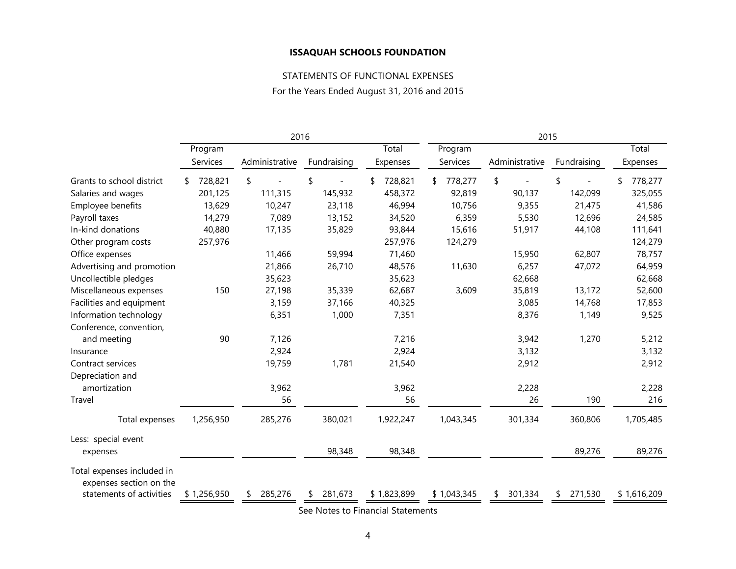# STATEMENTS OF FUNCTIONAL EXPENSES

For the Years Ended August 31, 2016 and 2015

|                                                       |             | 2016           |               |             | 2015        |                |               |               |
|-------------------------------------------------------|-------------|----------------|---------------|-------------|-------------|----------------|---------------|---------------|
|                                                       | Program     |                |               | Total       | Program     |                |               | Total         |
|                                                       | Services    | Administrative | Fundraising   | Expenses    | Services    | Administrative | Fundraising   | Expenses      |
| Grants to school district                             | 728,821     | \$             | \$            | 728,821     | 778,277     | \$             | \$            | 778,277<br>\$ |
| Salaries and wages                                    | 201,125     | 111,315        | 145,932       | 458,372     | 92,819      | 90,137         | 142,099       | 325,055       |
| Employee benefits                                     | 13,629      | 10,247         | 23,118        | 46,994      | 10,756      | 9,355          | 21,475        | 41,586        |
| Payroll taxes                                         | 14,279      | 7,089          | 13,152        | 34,520      | 6,359       | 5,530          | 12,696        | 24,585        |
| In-kind donations                                     | 40,880      | 17,135         | 35,829        | 93,844      | 15,616      | 51,917         | 44,108        | 111,641       |
| Other program costs                                   | 257,976     |                |               | 257,976     | 124,279     |                |               | 124,279       |
| Office expenses                                       |             | 11,466         | 59,994        | 71,460      |             | 15,950         | 62,807        | 78,757        |
| Advertising and promotion                             |             | 21,866         | 26,710        | 48,576      | 11,630      | 6,257          | 47,072        | 64,959        |
| Uncollectible pledges                                 |             | 35,623         |               | 35,623      |             | 62,668         |               | 62,668        |
| Miscellaneous expenses                                | 150         | 27,198         | 35,339        | 62,687      | 3,609       | 35,819         | 13,172        | 52,600        |
| Facilities and equipment                              |             | 3,159          | 37,166        | 40,325      |             | 3,085          | 14,768        | 17,853        |
| Information technology                                |             | 6,351          | 1,000         | 7,351       |             | 8,376          | 1,149         | 9,525         |
| Conference, convention,                               |             |                |               |             |             |                |               |               |
| and meeting                                           | 90          | 7,126          |               | 7,216       |             | 3,942          | 1,270         | 5,212         |
| Insurance                                             |             | 2,924          |               | 2,924       |             | 3,132          |               | 3,132         |
| Contract services                                     |             | 19,759         | 1,781         | 21,540      |             | 2,912          |               | 2,912         |
| Depreciation and                                      |             |                |               |             |             |                |               |               |
| amortization                                          |             | 3,962          |               | 3,962       |             | 2,228          |               | 2,228         |
| Travel                                                |             | 56             |               | 56          |             | 26             | 190           | 216           |
| Total expenses                                        | 1,256,950   | 285,276        | 380,021       | 1,922,247   | 1,043,345   | 301,334        | 360,806       | 1,705,485     |
| Less: special event                                   |             |                |               |             |             |                |               |               |
| expenses                                              |             |                | 98,348        | 98,348      |             |                | 89,276        | 89,276        |
| Total expenses included in<br>expenses section on the |             |                |               |             |             |                |               |               |
| statements of activities                              | \$1,256,950 | 285,276        | 281,673<br>\$ | \$1,823,899 | \$1,043,345 | 301,334<br>\$  | \$<br>271,530 | \$1,616,209   |
|                                                       |             |                |               |             |             |                |               |               |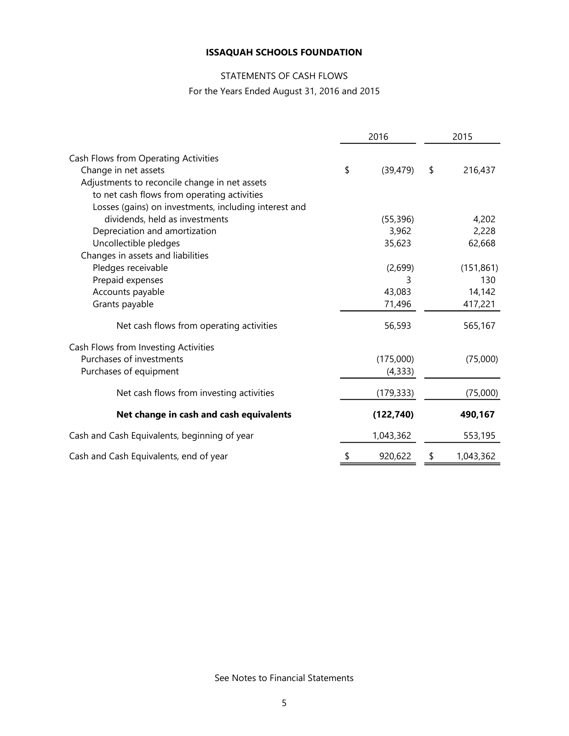# STATEMENTS OF CASH FLOWS

For the Years Ended August 31, 2016 and 2015

|                                                       | 2016 |            |    | 2015       |  |  |
|-------------------------------------------------------|------|------------|----|------------|--|--|
| Cash Flows from Operating Activities                  |      |            |    |            |  |  |
| Change in net assets                                  | \$   | (39, 479)  | \$ | 216,437    |  |  |
| Adjustments to reconcile change in net assets         |      |            |    |            |  |  |
| to net cash flows from operating activities           |      |            |    |            |  |  |
| Losses (gains) on investments, including interest and |      |            |    |            |  |  |
| dividends, held as investments                        |      | (55, 396)  |    | 4,202      |  |  |
| Depreciation and amortization                         |      | 3,962      |    | 2,228      |  |  |
| Uncollectible pledges                                 |      | 35,623     |    | 62,668     |  |  |
| Changes in assets and liabilities                     |      |            |    |            |  |  |
| Pledges receivable                                    |      | (2,699)    |    | (151, 861) |  |  |
| Prepaid expenses                                      |      | 3          |    | 130        |  |  |
| Accounts payable                                      |      | 43,083     |    | 14,142     |  |  |
| Grants payable                                        |      | 71,496     |    | 417,221    |  |  |
| Net cash flows from operating activities              |      | 56,593     |    | 565,167    |  |  |
| Cash Flows from Investing Activities                  |      |            |    |            |  |  |
| Purchases of investments                              |      | (175,000)  |    | (75,000)   |  |  |
| Purchases of equipment                                |      | (4, 333)   |    |            |  |  |
| Net cash flows from investing activities              |      | (179, 333) |    | (75,000)   |  |  |
| Net change in cash and cash equivalents               |      | (122, 740) |    | 490,167    |  |  |
| Cash and Cash Equivalents, beginning of year          |      | 1,043,362  |    | 553,195    |  |  |
| Cash and Cash Equivalents, end of year                | \$   | 920,622    | \$ | 1,043,362  |  |  |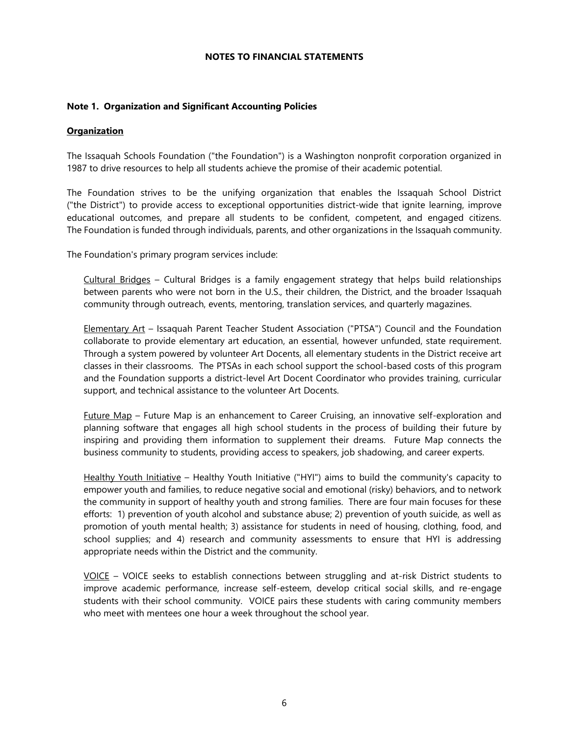#### **NOTES TO FINANCIAL STATEMENTS**

#### **Note 1. Organization and Significant Accounting Policies**

#### **Organization**

The Issaquah Schools Foundation ("the Foundation") is a Washington nonprofit corporation organized in 1987 to drive resources to help all students achieve the promise of their academic potential.

The Foundation strives to be the unifying organization that enables the Issaquah School District ("the District") to provide access to exceptional opportunities district-wide that ignite learning, improve educational outcomes, and prepare all students to be confident, competent, and engaged citizens. The Foundation is funded through individuals, parents, and other organizations in the Issaquah community.

The Foundation's primary program services include:

Cultural Bridges – Cultural Bridges is a family engagement strategy that helps build relationships between parents who were not born in the U.S., their children, the District, and the broader Issaquah community through outreach, events, mentoring, translation services, and quarterly magazines.

Elementary Art – Issaquah Parent Teacher Student Association ("PTSA") Council and the Foundation collaborate to provide elementary art education, an essential, however unfunded, state requirement. Through a system powered by volunteer Art Docents, all elementary students in the District receive art classes in their classrooms. The PTSAs in each school support the school-based costs of this program and the Foundation supports a district-level Art Docent Coordinator who provides training, curricular support, and technical assistance to the volunteer Art Docents.

Future Map – Future Map is an enhancement to Career Cruising, an innovative self-exploration and planning software that engages all high school students in the process of building their future by inspiring and providing them information to supplement their dreams. Future Map connects the business community to students, providing access to speakers, job shadowing, and career experts.

Healthy Youth Initiative – Healthy Youth Initiative ("HYI") aims to build the community's capacity to empower youth and families, to reduce negative social and emotional (risky) behaviors, and to network the community in support of healthy youth and strong families. There are four main focuses for these efforts: 1) prevention of youth alcohol and substance abuse; 2) prevention of youth suicide, as well as promotion of youth mental health; 3) assistance for students in need of housing, clothing, food, and school supplies; and 4) research and community assessments to ensure that HYI is addressing appropriate needs within the District and the community.

VOICE – VOICE seeks to establish connections between struggling and at-risk District students to improve academic performance, increase self-esteem, develop critical social skills, and re-engage students with their school community. VOICE pairs these students with caring community members who meet with mentees one hour a week throughout the school year.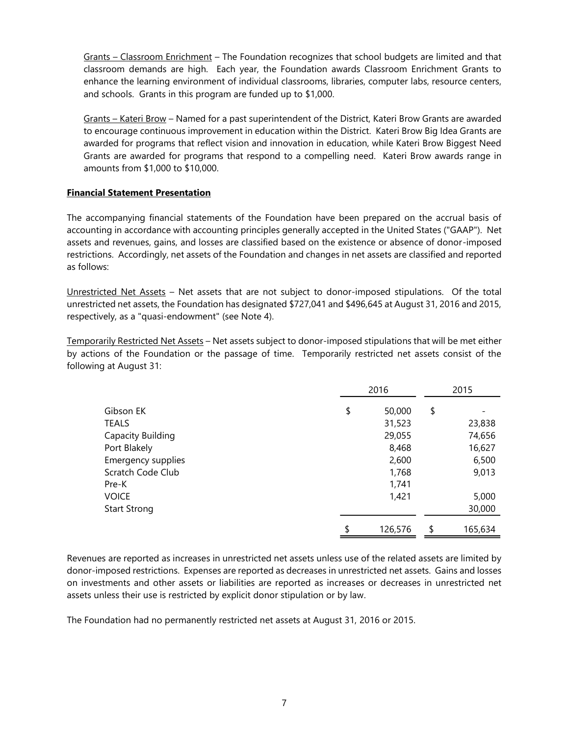Grants – Classroom Enrichment – The Foundation recognizes that school budgets are limited and that classroom demands are high. Each year, the Foundation awards Classroom Enrichment Grants to enhance the learning environment of individual classrooms, libraries, computer labs, resource centers, and schools. Grants in this program are funded up to \$1,000.

Grants – Kateri Brow – Named for a past superintendent of the District, Kateri Brow Grants are awarded to encourage continuous improvement in education within the District. Kateri Brow Big Idea Grants are awarded for programs that reflect vision and innovation in education, while Kateri Brow Biggest Need Grants are awarded for programs that respond to a compelling need. Kateri Brow awards range in amounts from \$1,000 to \$10,000.

## **Financial Statement Presentation**

The accompanying financial statements of the Foundation have been prepared on the accrual basis of accounting in accordance with accounting principles generally accepted in the United States ("GAAP"). Net assets and revenues, gains, and losses are classified based on the existence or absence of donor-imposed restrictions. Accordingly, net assets of the Foundation and changes in net assets are classified and reported as follows:

Unrestricted Net Assets – Net assets that are not subject to donor-imposed stipulations. Of the total unrestricted net assets, the Foundation has designated \$727,041 and \$496,645 at August 31, 2016 and 2015, respectively, as a "quasi-endowment" (see Note 4).

Temporarily Restricted Net Assets – Net assets subject to donor-imposed stipulations that will be met either by actions of the Foundation or the passage of time. Temporarily restricted net assets consist of the following at August 31:

|                           | 2016          |    |         |
|---------------------------|---------------|----|---------|
| Gibson EK                 | \$<br>50,000  | \$ |         |
| <b>TEALS</b>              | 31,523        |    | 23,838  |
| Capacity Building         | 29,055        |    | 74,656  |
| Port Blakely              | 8,468         |    | 16,627  |
| <b>Emergency supplies</b> | 2,600         |    | 6,500   |
| Scratch Code Club         | 1,768         |    | 9,013   |
| Pre-K                     | 1,741         |    |         |
| <b>VOICE</b>              | 1,421         |    | 5,000   |
| <b>Start Strong</b>       |               |    | 30,000  |
|                           | \$<br>126,576 |    | 165,634 |

Revenues are reported as increases in unrestricted net assets unless use of the related assets are limited by donor-imposed restrictions. Expenses are reported as decreases in unrestricted net assets. Gains and losses on investments and other assets or liabilities are reported as increases or decreases in unrestricted net assets unless their use is restricted by explicit donor stipulation or by law.

The Foundation had no permanently restricted net assets at August 31, 2016 or 2015.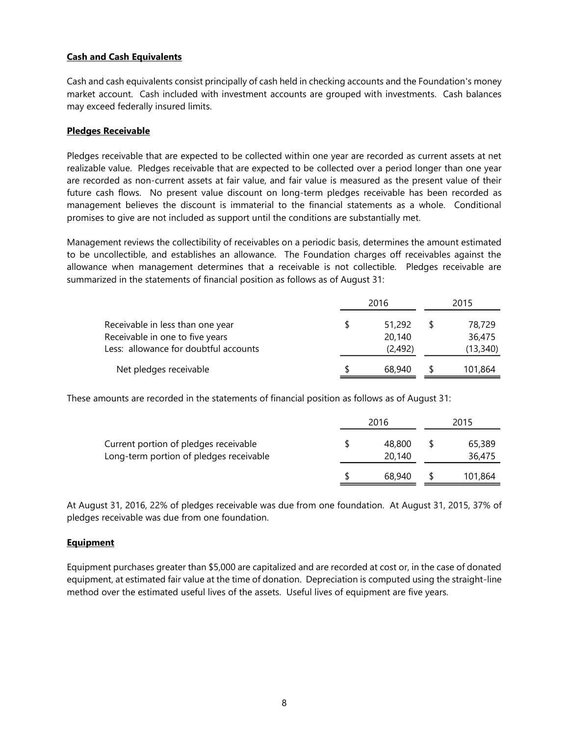# **Cash and Cash Equivalents**

Cash and cash equivalents consist principally of cash held in checking accounts and the Foundation's money market account. Cash included with investment accounts are grouped with investments. Cash balances may exceed federally insured limits.

#### **Pledges Receivable**

Pledges receivable that are expected to be collected within one year are recorded as current assets at net realizable value. Pledges receivable that are expected to be collected over a period longer than one year are recorded as non-current assets at fair value, and fair value is measured as the present value of their future cash flows. No present value discount on long-term pledges receivable has been recorded as management believes the discount is immaterial to the financial statements as a whole. Conditional promises to give are not included as support until the conditions are substantially met.

Management reviews the collectibility of receivables on a periodic basis, determines the amount estimated to be uncollectible, and establishes an allowance. The Foundation charges off receivables against the allowance when management determines that a receivable is not collectible. Pledges receivable are summarized in the statements of financial position as follows as of August 31:

|                                       | 2016    | 2015      |
|---------------------------------------|---------|-----------|
| Receivable in less than one year      | 51,292  | 78,729    |
| Receivable in one to five years       | 20,140  | 36,475    |
| Less: allowance for doubtful accounts | (2,492) | (13, 340) |
| Net pledges receivable                | 68.940  | 101,864   |

These amounts are recorded in the statements of financial position as follows as of August 31:

|                                                                                  | 2016             | 2015 |                  |  |
|----------------------------------------------------------------------------------|------------------|------|------------------|--|
| Current portion of pledges receivable<br>Long-term portion of pledges receivable | 48,800<br>20,140 |      | 65,389<br>36,475 |  |
|                                                                                  | 68,940           |      | 101,864          |  |

At August 31, 2016, 22% of pledges receivable was due from one foundation. At August 31, 2015, 37% of pledges receivable was due from one foundation.

## **Equipment**

Equipment purchases greater than \$5,000 are capitalized and are recorded at cost or, in the case of donated equipment, at estimated fair value at the time of donation. Depreciation is computed using the straight-line method over the estimated useful lives of the assets. Useful lives of equipment are five years.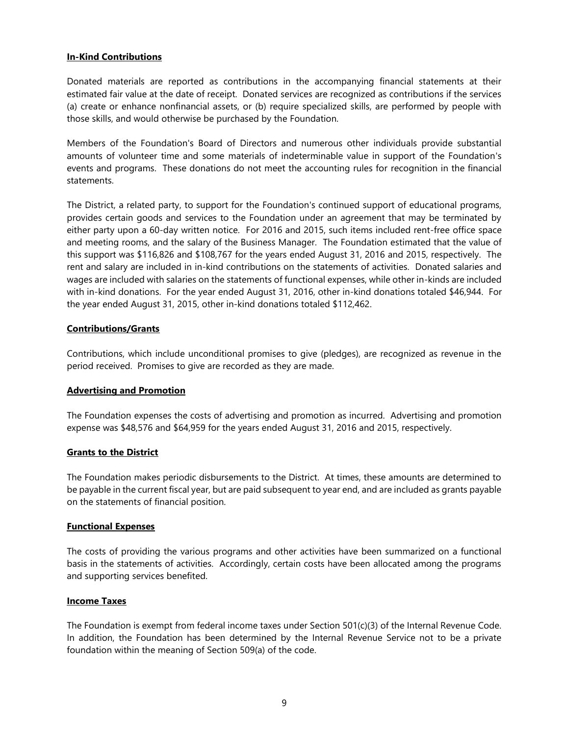## **In-Kind Contributions**

Donated materials are reported as contributions in the accompanying financial statements at their estimated fair value at the date of receipt. Donated services are recognized as contributions if the services (a) create or enhance nonfinancial assets, or (b) require specialized skills, are performed by people with those skills, and would otherwise be purchased by the Foundation.

Members of the Foundation's Board of Directors and numerous other individuals provide substantial amounts of volunteer time and some materials of indeterminable value in support of the Foundation's events and programs. These donations do not meet the accounting rules for recognition in the financial statements.

The District, a related party, to support for the Foundation's continued support of educational programs, provides certain goods and services to the Foundation under an agreement that may be terminated by either party upon a 60-day written notice. For 2016 and 2015, such items included rent-free office space and meeting rooms, and the salary of the Business Manager. The Foundation estimated that the value of this support was \$116,826 and \$108,767 for the years ended August 31, 2016 and 2015, respectively. The rent and salary are included in in-kind contributions on the statements of activities. Donated salaries and wages are included with salaries on the statements of functional expenses, while other in-kinds are included with in-kind donations. For the year ended August 31, 2016, other in-kind donations totaled \$46,944. For the year ended August 31, 2015, other in-kind donations totaled \$112,462.

# **Contributions/Grants**

Contributions, which include unconditional promises to give (pledges), are recognized as revenue in the period received. Promises to give are recorded as they are made.

## **Advertising and Promotion**

The Foundation expenses the costs of advertising and promotion as incurred. Advertising and promotion expense was \$48,576 and \$64,959 for the years ended August 31, 2016 and 2015, respectively.

## **Grants to the District**

The Foundation makes periodic disbursements to the District. At times, these amounts are determined to be payable in the current fiscal year, but are paid subsequent to year end, and are included as grants payable on the statements of financial position.

## **Functional Expenses**

The costs of providing the various programs and other activities have been summarized on a functional basis in the statements of activities. Accordingly, certain costs have been allocated among the programs and supporting services benefited.

#### **Income Taxes**

The Foundation is exempt from federal income taxes under Section 501(c)(3) of the Internal Revenue Code. In addition, the Foundation has been determined by the Internal Revenue Service not to be a private foundation within the meaning of Section 509(a) of the code.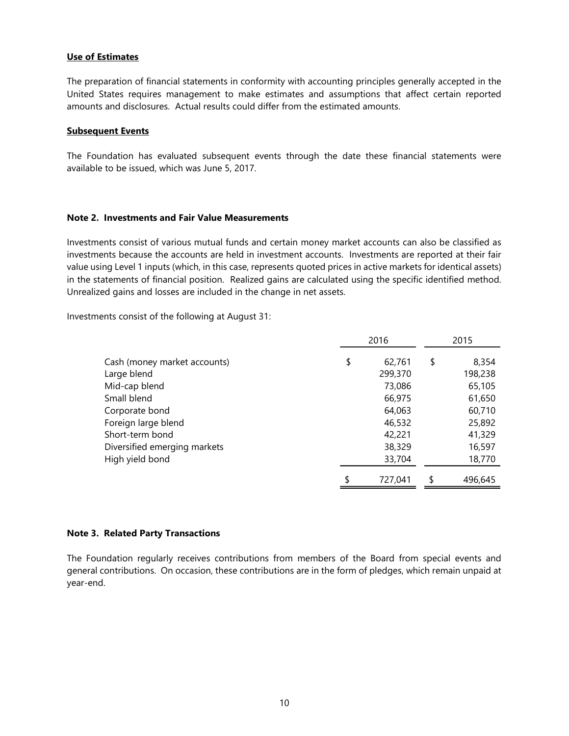#### **Use of Estimates**

The preparation of financial statements in conformity with accounting principles generally accepted in the United States requires management to make estimates and assumptions that affect certain reported amounts and disclosures. Actual results could differ from the estimated amounts.

#### **Subsequent Events**

The Foundation has evaluated subsequent events through the date these financial statements were available to be issued, which was June 5, 2017.

#### **Note 2. Investments and Fair Value Measurements**

Investments consist of various mutual funds and certain money market accounts can also be classified as investments because the accounts are held in investment accounts. Investments are reported at their fair value using Level 1 inputs (which, in this case, represents quoted prices in active markets for identical assets) in the statements of financial position. Realized gains are calculated using the specific identified method. Unrealized gains and losses are included in the change in net assets.

Investments consist of the following at August 31:

|                              | 2016 |         |    | 2015    |
|------------------------------|------|---------|----|---------|
| Cash (money market accounts) | \$   | 62,761  | \$ | 8,354   |
| Large blend                  |      | 299,370 |    | 198,238 |
| Mid-cap blend                |      | 73,086  |    | 65,105  |
| Small blend                  |      | 66,975  |    | 61,650  |
| Corporate bond               |      | 64,063  |    | 60,710  |
| Foreign large blend          |      | 46,532  |    | 25,892  |
| Short-term bond              |      | 42,221  |    | 41,329  |
| Diversified emerging markets |      | 38,329  |    | 16,597  |
| High yield bond              |      | 33,704  |    | 18,770  |
|                              |      | 727,041 |    | 496.645 |

#### **Note 3. Related Party Transactions**

The Foundation regularly receives contributions from members of the Board from special events and general contributions. On occasion, these contributions are in the form of pledges, which remain unpaid at year-end.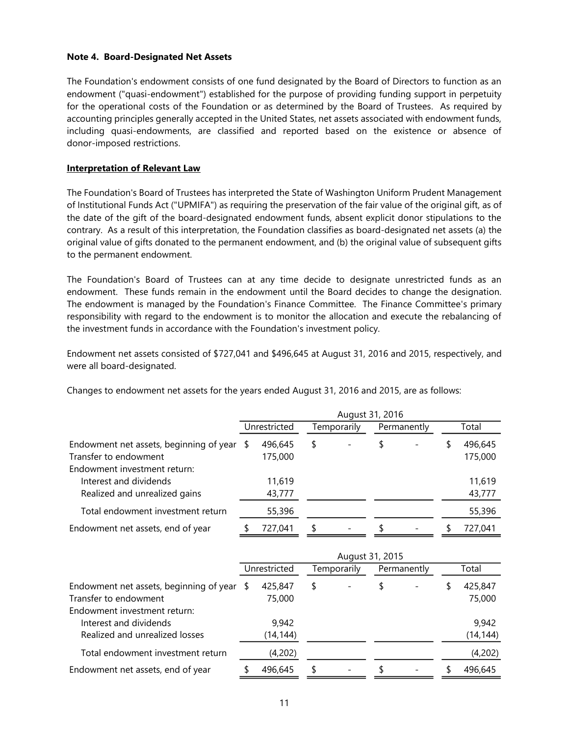#### **Note 4. Board-Designated Net Assets**

The Foundation's endowment consists of one fund designated by the Board of Directors to function as an endowment ("quasi-endowment") established for the purpose of providing funding support in perpetuity for the operational costs of the Foundation or as determined by the Board of Trustees. As required by accounting principles generally accepted in the United States, net assets associated with endowment funds, including quasi-endowments, are classified and reported based on the existence or absence of donor-imposed restrictions.

#### **Interpretation of Relevant Law**

The Foundation's Board of Trustees has interpreted the State of Washington Uniform Prudent Management of Institutional Funds Act ("UPMIFA") as requiring the preservation of the fair value of the original gift, as of the date of the gift of the board-designated endowment funds, absent explicit donor stipulations to the contrary. As a result of this interpretation, the Foundation classifies as board-designated net assets (a) the original value of gifts donated to the permanent endowment, and (b) the original value of subsequent gifts to the permanent endowment.

The Foundation's Board of Trustees can at any time decide to designate unrestricted funds as an endowment. These funds remain in the endowment until the Board decides to change the designation. The endowment is managed by the Foundation's Finance Committee. The Finance Committee's primary responsibility with regard to the endowment is to monitor the allocation and execute the rebalancing of the investment funds in accordance with the Foundation's investment policy.

Endowment net assets consisted of \$727,041 and \$496,645 at August 31, 2016 and 2015, respectively, and were all board-designated.

|                                         | August 31, 2016 |              |    |                          |    |             |  |         |
|-----------------------------------------|-----------------|--------------|----|--------------------------|----|-------------|--|---------|
|                                         |                 | Unrestricted |    | Temporarily              |    | Permanently |  | Total   |
| Endowment net assets, beginning of year |                 | 496,645      | \$ | $\overline{\phantom{a}}$ | \$ |             |  | 496,645 |
| Transfer to endowment                   |                 | 175,000      |    |                          |    |             |  | 175,000 |
| Endowment investment return:            |                 |              |    |                          |    |             |  |         |
| Interest and dividends                  |                 | 11,619       |    |                          |    |             |  | 11,619  |
| Realized and unrealized gains           |                 | 43,777       |    |                          |    |             |  | 43,777  |
| Total endowment investment return       |                 | 55,396       |    |                          |    |             |  | 55,396  |
| Endowment net assets, end of year       |                 | 727,041      |    |                          |    |             |  | 727.041 |

Changes to endowment net assets for the years ended August 31, 2016 and 2015, are as follows:

|                                         |  | August 31, 2015 |             |                          |  |             |  |           |
|-----------------------------------------|--|-----------------|-------------|--------------------------|--|-------------|--|-----------|
|                                         |  | Unrestricted    | Temporarily |                          |  | Permanently |  | Total     |
| Endowment net assets, beginning of year |  | 425,847         | \$          | $\overline{\phantom{a}}$ |  |             |  | 425,847   |
| Transfer to endowment                   |  | 75,000          |             |                          |  |             |  | 75,000    |
| Endowment investment return:            |  |                 |             |                          |  |             |  |           |
| Interest and dividends                  |  | 9.942           |             |                          |  |             |  | 9,942     |
| Realized and unrealized losses          |  | (14,144)        |             |                          |  |             |  | (14, 144) |
| Total endowment investment return       |  | (4,202)         |             |                          |  |             |  | (4,202)   |
| Endowment net assets, end of year       |  | 496.645         |             | $\overline{\phantom{a}}$ |  |             |  | 496.645   |